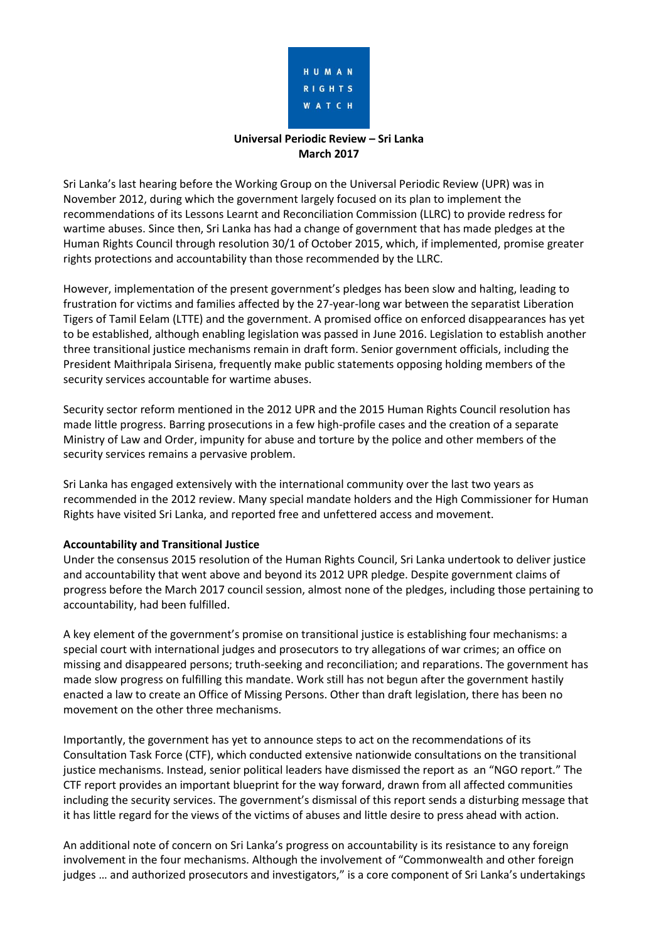

# **Universal Periodic Review – Sri Lanka March 2017**

Sri Lanka's last hearing before the Working Group on the Universal Periodic Review (UPR) was in November 2012, during which the government largely focused on its plan to implement the recommendations of its Lessons Learnt and Reconciliation Commission (LLRC) to provide redress for wartime abuses. Since then, Sri Lanka has had a change of government that has made pledges at the Human Rights Council through resolution 30/1 of October 2015, which, if implemented, promise greater rights protections and accountability than those recommended by the LLRC.

However, implementation of the present government's pledges has been slow and halting, leading to frustration for victims and families affected by the 27-year-long war between the separatist Liberation Tigers of Tamil Eelam (LTTE) and the government. A promised office on enforced disappearances has yet to be established, although enabling legislation was passed in June 2016. Legislation to establish another three transitional justice mechanisms remain in draft form. Senior government officials, including the President Maithripala Sirisena, frequently make public statements opposing holding members of the security services accountable for wartime abuses.

Security sector reform mentioned in the 2012 UPR and the 2015 Human Rights Council resolution has made little progress. Barring prosecutions in a few high-profile cases and the creation of a separate Ministry of Law and Order, impunity for abuse and torture by the police and other members of the security services remains a pervasive problem.

Sri Lanka has engaged extensively with the international community over the last two years as recommended in the 2012 review. Many special mandate holders and the High Commissioner for Human Rights have visited Sri Lanka, and reported free and unfettered access and movement.

### **Accountability and Transitional Justice**

Under the consensus 2015 resolution of the Human Rights Council, Sri Lanka undertook to deliver justice and accountability that went above and beyond its 2012 UPR pledge. Despite government claims of progress before the March 2017 council session, almost none of the pledges, including those pertaining to accountability, had been fulfilled.

A key element of the government's promise on transitional justice is establishing four mechanisms: a special court with international judges and prosecutors to try allegations of war crimes; an office on missing and disappeared persons; truth-seeking and reconciliation; and reparations. The government has made slow progress on fulfilling this mandate. Work still has not begun after the government hastily enacted a law to create an Office of Missing Persons. Other than draft legislation, there has been no movement on the other three mechanisms.

Importantly, the government has yet to announce steps to act on the recommendations of its Consultation Task Force (CTF), which conducted extensive nationwide consultations on the transitional justice mechanisms. Instead, senior political leaders have dismissed the report as an "NGO report." The CTF report provides an important blueprint for the way forward, drawn from all affected communities including the security services. The government's dismissal of this report sends a disturbing message that it has little regard for the views of the victims of abuses and little desire to press ahead with action.

An additional note of concern on Sri Lanka's progress on accountability is its resistance to any foreign involvement in the four mechanisms. Although the involvement of "Commonwealth and other foreign judges … and authorized prosecutors and investigators," is a core component of Sri Lanka's undertakings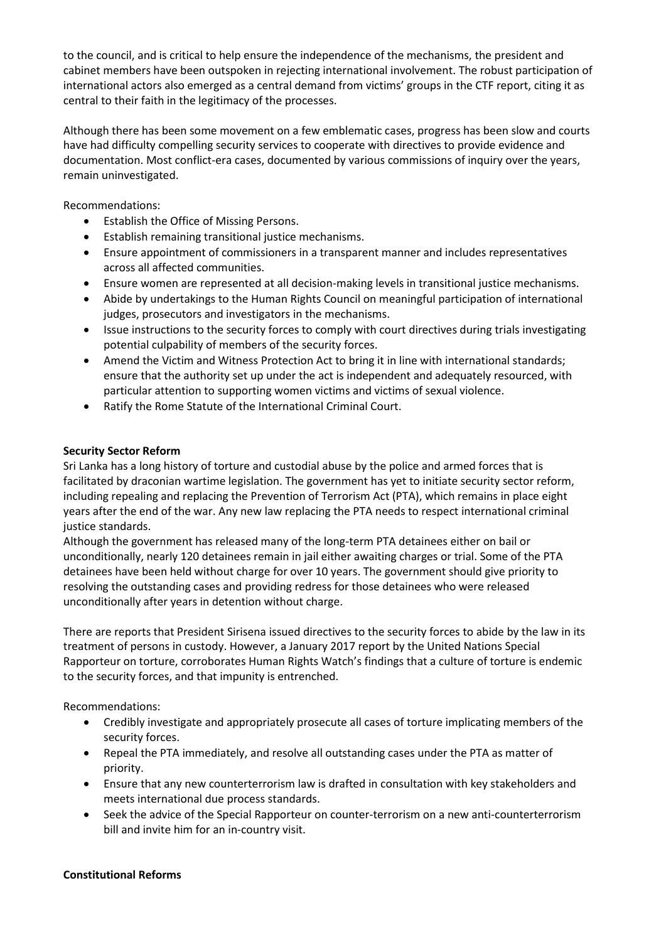to the council, and is critical to help ensure the independence of the mechanisms, the president and cabinet members have been outspoken in rejecting international involvement. The robust participation of international actors also emerged as a central demand from victims' groups in the CTF report, citing it as central to their faith in the legitimacy of the processes.

Although there has been some movement on a few emblematic cases, progress has been slow and courts have had difficulty compelling security services to cooperate with directives to provide evidence and documentation. Most conflict-era cases, documented by various commissions of inquiry over the years, remain uninvestigated.

Recommendations:

- Establish the Office of Missing Persons.
- Establish remaining transitional justice mechanisms.
- Ensure appointment of commissioners in a transparent manner and includes representatives across all affected communities.
- Ensure women are represented at all decision-making levels in transitional justice mechanisms.
- Abide by undertakings to the Human Rights Council on meaningful participation of international judges, prosecutors and investigators in the mechanisms.
- Issue instructions to the security forces to comply with court directives during trials investigating potential culpability of members of the security forces.
- Amend the Victim and Witness Protection Act to bring it in line with international standards; ensure that the authority set up under the act is independent and adequately resourced, with particular attention to supporting women victims and victims of sexual violence.
- Ratify the Rome Statute of the International Criminal Court.

## **Security Sector Reform**

Sri Lanka has a long history of torture and custodial abuse by the police and armed forces that is facilitated by draconian wartime legislation. The government has yet to initiate security sector reform, including repealing and replacing the Prevention of Terrorism Act (PTA), which remains in place eight years after the end of the war. Any new law replacing the PTA needs to respect international criminal justice standards.

Although the government has released many of the long-term PTA detainees either on bail or unconditionally, nearly 120 detainees remain in jail either awaiting charges or trial. Some of the PTA detainees have been held without charge for over 10 years. The government should give priority to resolving the outstanding cases and providing redress for those detainees who were released unconditionally after years in detention without charge.

There are reports that President Sirisena issued directives to the security forces to abide by the law in its treatment of persons in custody. However, a January 2017 report by the United Nations Special Rapporteur on torture, corroborates Human Rights Watch's findings that a culture of torture is endemic to the security forces, and that impunity is entrenched.

Recommendations:

- Credibly investigate and appropriately prosecute all cases of torture implicating members of the security forces.
- Repeal the PTA immediately, and resolve all outstanding cases under the PTA as matter of priority.
- Ensure that any new counterterrorism law is drafted in consultation with key stakeholders and meets international due process standards.
- Seek the advice of the Special Rapporteur on counter-terrorism on a new anti-counterterrorism bill and invite him for an in-country visit.

### **Constitutional Reforms**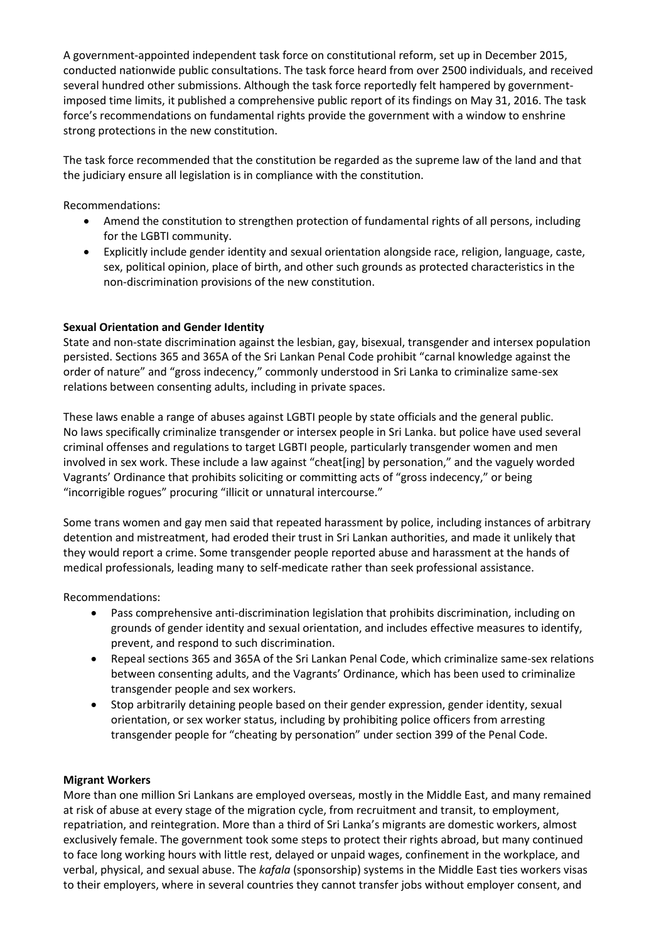A government-appointed independent task force on constitutional reform, set up in December 2015, conducted nationwide public consultations. The task force heard from over 2500 individuals, and received several hundred other submissions. Although the task force reportedly felt hampered by governmentimposed time limits, it published a comprehensive public report of its findings on May 31, 2016. The task force's recommendations on fundamental rights provide the government with a window to enshrine strong protections in the new constitution.

The task force recommended that the constitution be regarded as the supreme law of the land and that the judiciary ensure all legislation is in compliance with the constitution.

Recommendations:

- Amend the constitution to strengthen protection of fundamental rights of all persons, including for the LGBTI community.
- Explicitly include gender identity and sexual orientation alongside race, religion, language, caste, sex, political opinion, place of birth, and other such grounds as protected characteristics in the non-discrimination provisions of the new constitution.

# **Sexual Orientation and Gender Identity**

State and non-state discrimination against the lesbian, gay, bisexual, transgender and intersex population persisted. Sections 365 and 365A of the Sri Lankan Penal Code prohibit "carnal knowledge against the order of nature" and "gross indecency," commonly understood in Sri Lanka to criminalize same-sex relations between consenting adults, including in private spaces.

These laws enable a range of abuses against LGBTI people by state officials and the general public. No laws specifically criminalize transgender or intersex people in Sri Lanka. but police have used several criminal offenses and regulations to target LGBTI people, particularly transgender women and men involved in sex work. These include a law against "cheat[ing] by personation," and the vaguely worded Vagrants' Ordinance that prohibits soliciting or committing acts of "gross indecency," or being "incorrigible rogues" procuring "illicit or unnatural intercourse."

Some trans women and gay men said that repeated harassment by police, including instances of arbitrary detention and mistreatment, had eroded their trust in Sri Lankan authorities, and made it unlikely that they would report a crime. Some transgender people reported abuse and harassment at the hands of medical professionals, leading many to self-medicate rather than seek professional assistance.

Recommendations:

- Pass comprehensive anti-discrimination legislation that prohibits discrimination, including on grounds of gender identity and sexual orientation, and includes effective measures to identify, prevent, and respond to such discrimination.
- Repeal sections 365 and 365A of the Sri Lankan Penal Code, which criminalize same-sex relations between consenting adults, and the Vagrants' Ordinance, which has been used to criminalize transgender people and sex workers.
- Stop arbitrarily detaining people based on their gender expression, gender identity, sexual orientation, or sex worker status, including by prohibiting police officers from arresting transgender people for "cheating by personation" under section 399 of the Penal Code.

### **Migrant Workers**

More than one million Sri Lankans are employed overseas, mostly in the Middle East, and many remained at risk of abuse at every stage of the migration cycle, from recruitment and transit, to employment, repatriation, and reintegration. More than a third of Sri Lanka's migrants are domestic workers, almost exclusively female. The government took some steps to protect their rights abroad, but many continued to face long working hours with little rest, delayed or unpaid wages, confinement in the workplace, and verbal, physical, and sexual abuse. The *kafala* (sponsorship) systems in the Middle East ties workers visas to their employers, where in several countries they cannot transfer jobs without employer consent, and